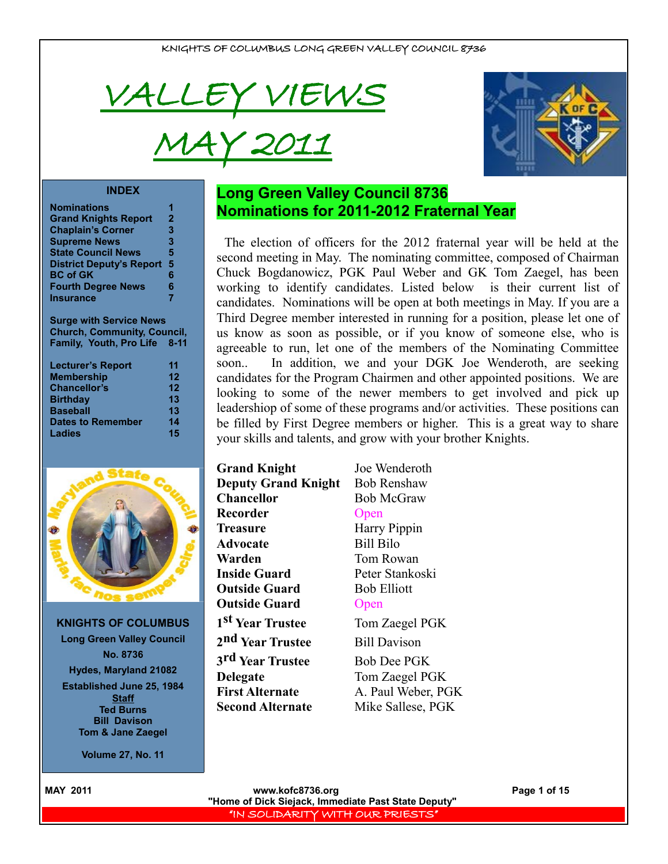

# MAY 2011



#### **INDEX**

| <b>Nominations</b>              |              |
|---------------------------------|--------------|
| <b>Grand Knights Report</b>     | $\mathbf{2}$ |
| <b>Chaplain's Corner</b>        | 3            |
| <b>Supreme News</b>             | 3            |
| <b>State Council News</b>       | 5            |
| <b>District Deputy's Report</b> | 5            |
| <b>BC of GK</b>                 | 6            |
| <b>Fourth Degree News</b>       | 6            |
| <b>Insurance</b>                | 7            |

**Surge with Service News Church, Community, Council, Family, Youth, Pro Life 8-11**

| <b>Lecturer's Report</b> | 11 |
|--------------------------|----|
| <b>Membership</b>        | 12 |
| <b>Chancellor's</b>      | 12 |
| <b>Birthday</b>          | 13 |
| <b>Baseball</b>          | 13 |
| <b>Dates to Remember</b> | 14 |
| Ladies                   | 15 |



**KNIGHTS OF COLUMBUS Long Green Valley Council No. 8736 Hydes, Maryland 21082 Established June 25, 1984 Staff**

**Ted Burns Bill Davison Tom & Jane Zaegel**

**Volume 27, No. 11**

# **Long Green Valley Council 8736 Nominations for 2011-2012 Fraternal Year**

The election of officers for the 2012 fraternal year will be held at the second meeting in May. The nominating committee, composed of Chairman Chuck Bogdanowicz, PGK Paul Weber and GK Tom Zaegel, has been working to identify candidates. Listed below is their current list of candidates. Nominations will be open at both meetings in May. If you are a Third Degree member interested in running for a position, please let one of us know as soon as possible, or if you know of someone else, who is agreeable to run, let one of the members of the Nominating Committee soon.. In addition, we and your DGK Joe Wenderoth, are seeking candidates for the Program Chairmen and other appointed positions. We are looking to some of the newer members to get involved and pick up leadershiop of some of these programs and/or activities. These positions can be filled by First Degree members or higher. This is a great way to share your skills and talents, and grow with your brother Knights.

| <b>Grand Knight</b>          | Joe Wenderoth       |
|------------------------------|---------------------|
| <b>Deputy Grand Knight</b>   | <b>Bob Renshaw</b>  |
| <b>Chancellor</b>            | <b>Bob McGraw</b>   |
| Recorder                     | Open                |
| <b>Treasure</b>              | Harry Pippin        |
| <b>Advocate</b>              | <b>Bill Bilo</b>    |
| Warden                       | Tom Rowan           |
| <b>Inside Guard</b>          | Peter Stankosk      |
| <b>Outside Guard</b>         | <b>Bob Elliott</b>  |
| <b>Outside Guard</b>         | Open                |
| 1 <sup>st</sup> Year Trustee | Tom Zaegel PC       |
| 2 <sup>nd</sup> Year Trustee | <b>Bill Davison</b> |
| 3 <sup>rd</sup> Year Trustee | <b>Bob Dee PGK</b>  |
| <b>Delegate</b>              | Tom Zaegel PC       |
| <b>First Alternate</b>       | A. Paul Weber,      |
| <b>Second Alternate</b>      | Mike Sallese, F     |

**Deputy Grand Knight** Bob Renshaw cGraw *Pippin* tankoski **sear Trustee Trustee** 

re PGK **PGK** Weber, PGK allese, PGK

**MAY 2011 WWW.kofc8736.org Page 1 of 15 "Home of Dick Siejack, Immediate Past State Deputy"**  "IN SOLIDARITY WITH OUR PRIESTS"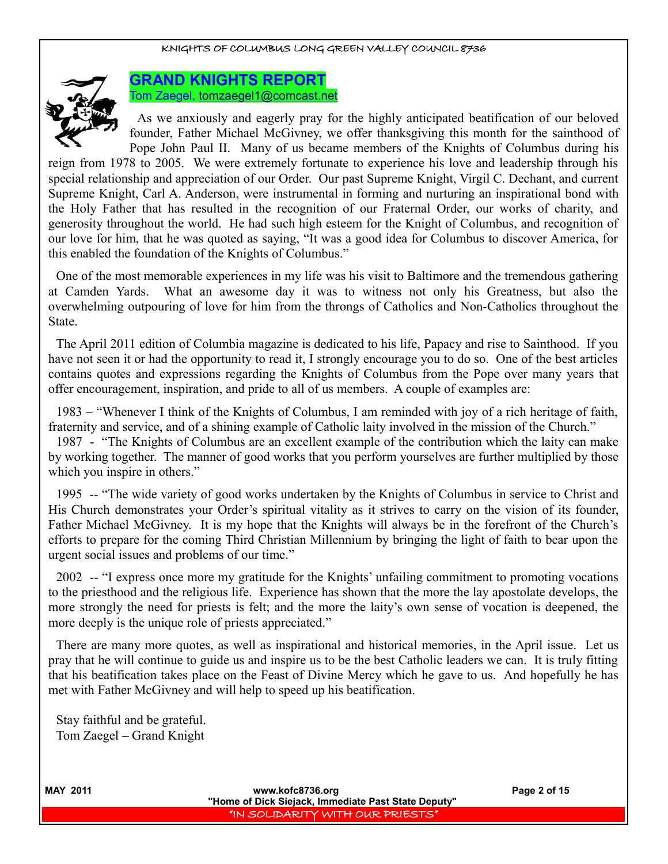

**GRAND KNIGHTS REPORT** Tom Zaegel, [tomzaegel1@comcast.net](mailto:tomzaegel1@comcast.net)

As we anxiously and eagerly pray for the highly anticipated beatification of our beloved founder, Father Michael McGivney, we offer thanksgiving this month for the sainthood of Pope John Paul II. Many of us became members of the Knights of Columbus during his

reign from 1978 to 2005. We were extremely fortunate to experience his love and leadership through his special relationship and appreciation of our Order. Our past Supreme Knight, Virgil C. Dechant, and current Supreme Knight, Carl A. Anderson, were instrumental in forming and nurturing an inspirational bond with the Holy Father that has resulted in the recognition of our Fraternal Order, our works of charity, and generosity throughout the world. He had such high esteem for the Knight of Columbus, and recognition of our love for him, that he was quoted as saying, "It was a good idea for Columbus to discover America, for this enabled the foundation of the Knights of Columbus."

One of the most memorable experiences in my life was his visit to Baltimore and the tremendous gathering at Camden Yards. What an awesome day it was to witness not only his Greatness, but also the overwhelming outpouring of love for him from the throngs of Catholics and Non-Catholics throughout the State.

The April 2011 edition of Columbia magazine is dedicated to his life, Papacy and rise to Sainthood. If you have not seen it or had the opportunity to read it, I strongly encourage you to do so. One of the best articles contains quotes and expressions regarding the Knights of Columbus from the Pope over many years that offer encouragement, inspiration, and pride to all of us members. A couple of examples are:

1983 – "Whenever I think of the Knights of Columbus, I am reminded with joy of a rich heritage of faith, fraternity and service, and of a shining example of Catholic laity involved in the mission of the Church."

1987 - "The Knights of Columbus are an excellent example of the contribution which the laity can make by working together. The manner of good works that you perform yourselves are further multiplied by those which you inspire in others."

1995 -- "The wide variety of good works undertaken by the Knights of Columbus in service to Christ and His Church demonstrates your Order's spiritual vitality as it strives to carry on the vision of its founder, Father Michael McGivney. It is my hope that the Knights will always be in the forefront of the Church's efforts to prepare for the coming Third Christian Millennium by bringing the light of faith to bear upon the urgent social issues and problems of our time."

2002 -- "I express once more my gratitude for the Knights' unfailing commitment to promoting vocations to the priesthood and the religious life. Experience has shown that the more the lay apostolate develops, the more strongly the need for priests is felt; and the more the laity's own sense of vocation is deepened, the more deeply is the unique role of priests appreciated."

There are many more quotes, as well as inspirational and historical memories, in the April issue. Let us pray that he will continue to guide us and inspire us to be the best Catholic leaders we can. It is truly fitting that his beatification takes place on the Feast of Divine Mercy which he gave to us. And hopefully he has met with Father McGivney and will help to speed up his beatification.

Stay faithful and be grateful. Tom Zaegel – Grand Knight

**MAY 2011 WWW.kofc8736.org Page 2 of 15 "Home of Dick Siejack, Immediate Past State Deputy"**  "IN SOLIDARITY WITH OUR PRIESTS"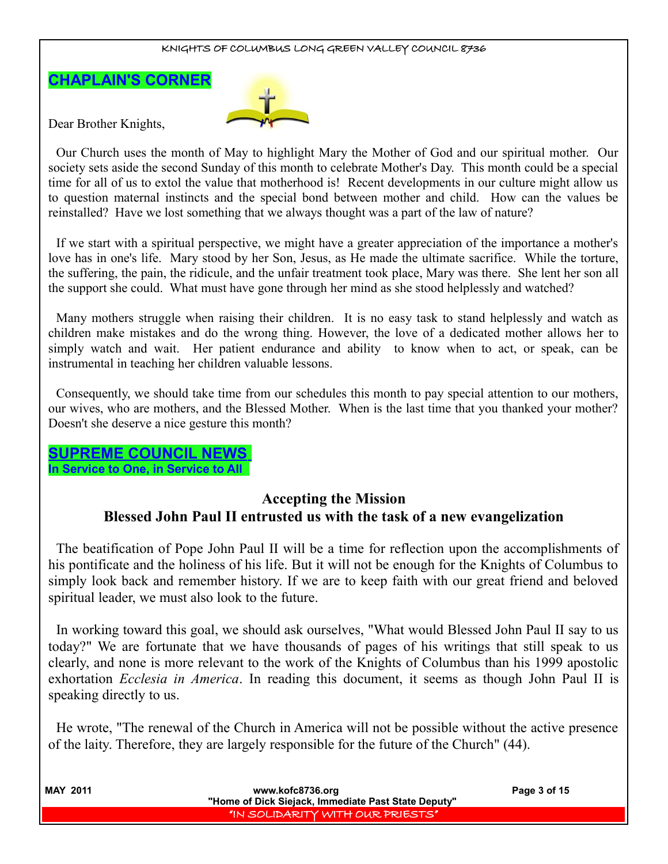# **CHAPLAIN'S CORNER**



Dear Brother Knights,

Our Church uses the month of May to highlight Mary the Mother of God and our spiritual mother. Our society sets aside the second Sunday of this month to celebrate Mother's Day. This month could be a special time for all of us to extol the value that motherhood is! Recent developments in our culture might allow us to question maternal instincts and the special bond between mother and child. How can the values be reinstalled? Have we lost something that we always thought was a part of the law of nature?

If we start with a spiritual perspective, we might have a greater appreciation of the importance a mother's love has in one's life. Mary stood by her Son, Jesus, as He made the ultimate sacrifice. While the torture, the suffering, the pain, the ridicule, and the unfair treatment took place, Mary was there. She lent her son all the support she could. What must have gone through her mind as she stood helplessly and watched?

Many mothers struggle when raising their children. It is no easy task to stand helplessly and watch as children make mistakes and do the wrong thing. However, the love of a dedicated mother allows her to simply watch and wait. Her patient endurance and ability to know when to act, or speak, can be instrumental in teaching her children valuable lessons.

Consequently, we should take time from our schedules this month to pay special attention to our mothers, our wives, who are mothers, and the Blessed Mother. When is the last time that you thanked your mother? Doesn't she deserve a nice gesture this month?

# **SUPREME COUNCIL NEWS**

**In Service to One, in Service to All** 

# **Accepting the Mission Blessed John Paul II entrusted us with the task of a new evangelization**

The beatification of Pope John Paul II will be a time for reflection upon the accomplishments of his pontificate and the holiness of his life. But it will not be enough for the Knights of Columbus to simply look back and remember history. If we are to keep faith with our great friend and beloved spiritual leader, we must also look to the future.

In working toward this goal, we should ask ourselves, "What would Blessed John Paul II say to us today?" We are fortunate that we have thousands of pages of his writings that still speak to us clearly, and none is more relevant to the work of the Knights of Columbus than his 1999 apostolic exhortation *Ecclesia in America*. In reading this document, it seems as though John Paul II is speaking directly to us.

He wrote, "The renewal of the Church in America will not be possible without the active presence of the laity. Therefore, they are largely responsible for the future of the Church" (44).

| <b>MAY 2011</b> | www.kofc8736.org                                    | Page 3 of 15 |
|-----------------|-----------------------------------------------------|--------------|
|                 | "Home of Dick Siejack, Immediate Past State Deputy" |              |
|                 | "IN SOLIDARITY WITH OUR PRIESTS"                    |              |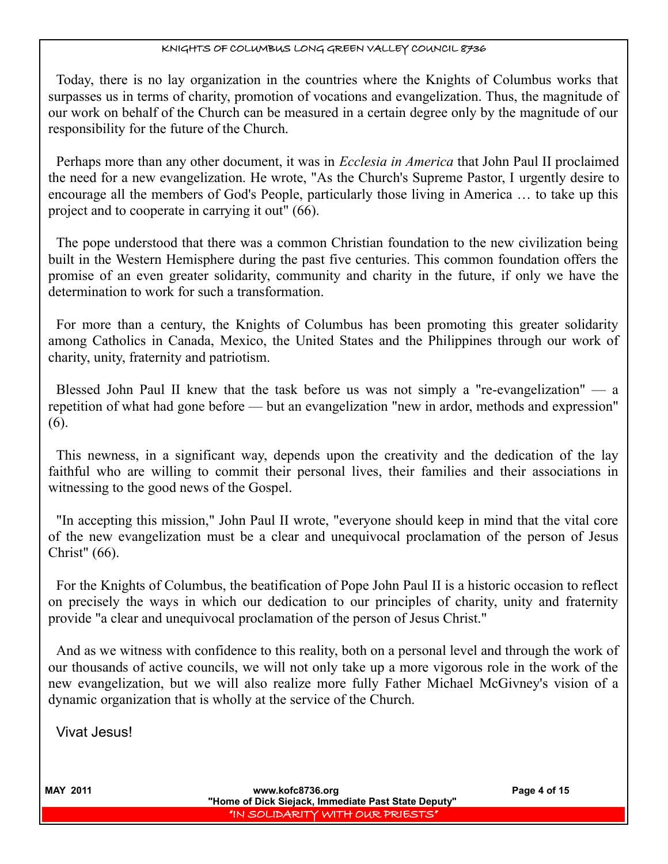Today, there is no lay organization in the countries where the Knights of Columbus works that surpasses us in terms of charity, promotion of vocations and evangelization. Thus, the magnitude of our work on behalf of the Church can be measured in a certain degree only by the magnitude of our responsibility for the future of the Church.

Perhaps more than any other document, it was in *Ecclesia in America* that John Paul II proclaimed the need for a new evangelization. He wrote, "As the Church's Supreme Pastor, I urgently desire to encourage all the members of God's People, particularly those living in America … to take up this project and to cooperate in carrying it out" (66).

The pope understood that there was a common Christian foundation to the new civilization being built in the Western Hemisphere during the past five centuries. This common foundation offers the promise of an even greater solidarity, community and charity in the future, if only we have the determination to work for such a transformation.

For more than a century, the Knights of Columbus has been promoting this greater solidarity among Catholics in Canada, Mexico, the United States and the Philippines through our work of charity, unity, fraternity and patriotism.

Blessed John Paul II knew that the task before us was not simply a "re-evangelization" — a repetition of what had gone before — but an evangelization "new in ardor, methods and expression" (6).

This newness, in a significant way, depends upon the creativity and the dedication of the lay faithful who are willing to commit their personal lives, their families and their associations in witnessing to the good news of the Gospel.

"In accepting this mission," John Paul II wrote, "everyone should keep in mind that the vital core of the new evangelization must be a clear and unequivocal proclamation of the person of Jesus Christ" (66).

For the Knights of Columbus, the beatification of Pope John Paul II is a historic occasion to reflect on precisely the ways in which our dedication to our principles of charity, unity and fraternity provide "a clear and unequivocal proclamation of the person of Jesus Christ."

And as we witness with confidence to this reality, both on a personal level and through the work of our thousands of active councils, we will not only take up a more vigorous role in the work of the new evangelization, but we will also realize more fully Father Michael McGivney's vision of a dynamic organization that is wholly at the service of the Church.

Vivat Jesus!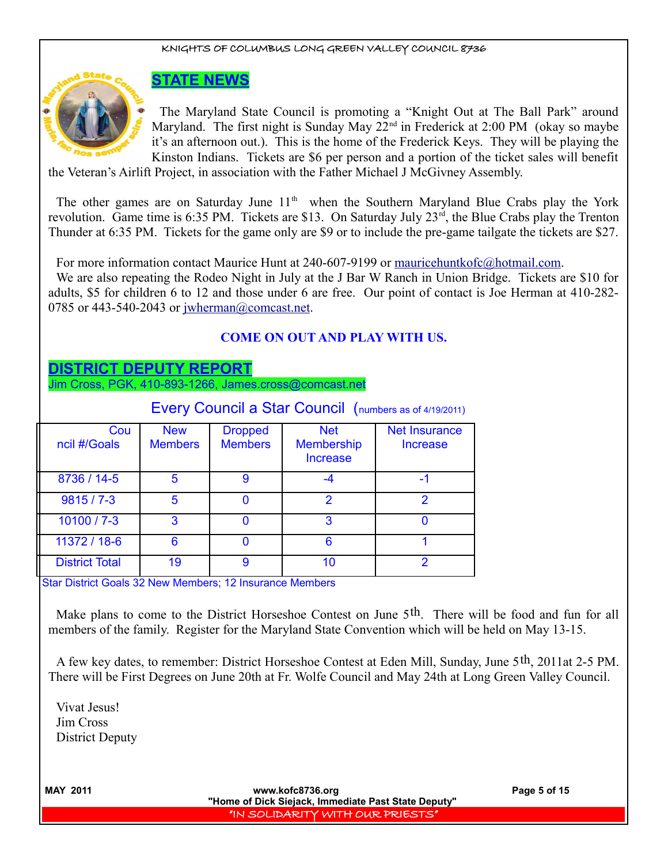

# **STATE NEWS**

The Maryland State Council is promoting a "Knight Out at The Ball Park" around Maryland. The first night is Sunday May  $22<sup>nd</sup>$  in Frederick at 2:00 PM (okay so maybe it's an afternoon out.). This is the home of the Frederick Keys. They will be playing the Kinston Indians. Tickets are \$6 per person and a portion of the ticket sales will benefit

the Veteran's Airlift Project, in association with the Father Michael J McGivney Assembly.

The other games are on Saturday June  $11<sup>th</sup>$  when the Southern Maryland Blue Crabs play the York revolution. Game time is 6:35 PM. Tickets are \$13. On Saturday July 23<sup>rd</sup>, the Blue Crabs play the Trenton Thunder at 6:35 PM. Tickets for the game only are \$9 or to include the pre-game tailgate the tickets are \$27.

For more information contact Maurice Hunt at 240-607-9199 or [mauricehuntkofc@hotmail.com.](mailto:mauricehuntkofc@hotmail.com)

We are also repeating the Rodeo Night in July at the J Bar W Ranch in Union Bridge. Tickets are \$10 for adults, \$5 for children 6 to 12 and those under 6 are free. Our point of contact is Joe Herman at 410-282 0785 or 443-540-2043 or [jwherman@comcast.net.](mailto:jwherman@comcast.net)

## **COME ON OUT AND PLAY WITH US.**

## **DISTRICT DEPUTY REPORT**

Jim Cross, PGK, 410-893-1266, James.cross@comcast.net

|                       |                              |                                  | Every Council a Star Council (numbers as of 4/19/2011) |                                         |
|-----------------------|------------------------------|----------------------------------|--------------------------------------------------------|-----------------------------------------|
| Cou<br>ncil #/Goals   | <b>New</b><br><b>Members</b> | <b>Dropped</b><br><b>Members</b> | <b>Net</b><br><b>Membership</b><br><b>Increase</b>     | <b>Net Insurance</b><br><b>Increase</b> |
| 8736 / 14-5           | 5                            | 9                                | -4                                                     | -1                                      |
| $9815/7 - 3$          | 5                            |                                  | 2                                                      | 2                                       |
| $10100 / 7 - 3$       | 3                            |                                  | 3                                                      | O                                       |
| 11372 / 18-6          | 6                            |                                  | 6                                                      |                                         |
| <b>District Total</b> | 19                           | 9                                | 10                                                     | 2                                       |

Star District Goals 32 New Members; 12 Insurance Members

Make plans to come to the District Horseshoe Contest on June 5<sup>th</sup>. There will be food and fun for all members of the family. Register for the Maryland State Convention which will be held on May 13-15.

A few key dates, to remember: District Horseshoe Contest at Eden Mill, Sunday, June 5th, 2011at 2-5 PM. There will be First Degrees on June 20th at Fr. Wolfe Council and May 24th at Long Green Valley Council.

Vivat Jesus! Jim Cross District Deputy

**MAY 2011 WWW.kofc8736.org Page 5 of 15 "Home of Dick Siejack, Immediate Past State Deputy"**  "IN SOLIDARITY WITH OUR PRIESTS"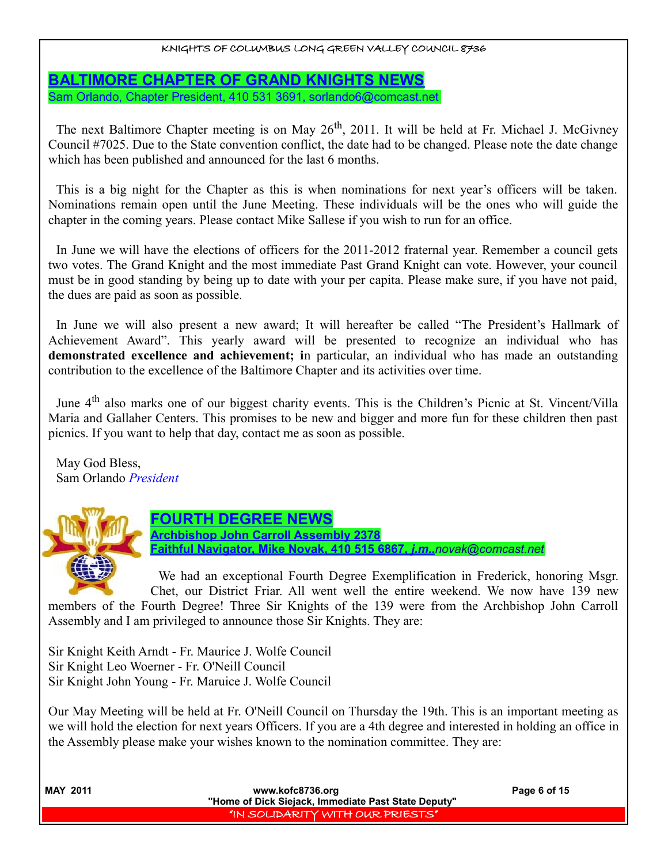**BALTIMORE CHAPTER OF GRAND KNIGHTS NEWS** Sam Orlando, Chapter President, 410 531 3691, sorlando6@comcast.net

The next Baltimore Chapter meeting is on May  $26<sup>th</sup>$ , 2011. It will be held at Fr. Michael J. McGivney Council #7025. Due to the State convention conflict, the date had to be changed. Please note the date change which has been published and announced for the last 6 months.

This is a big night for the Chapter as this is when nominations for next year's officers will be taken. Nominations remain open until the June Meeting. These individuals will be the ones who will guide the chapter in the coming years. Please contact Mike Sallese if you wish to run for an office.

In June we will have the elections of officers for the 2011-2012 fraternal year. Remember a council gets two votes. The Grand Knight and the most immediate Past Grand Knight can vote. However, your council must be in good standing by being up to date with your per capita. Please make sure, if you have not paid, the dues are paid as soon as possible.

In June we will also present a new award; It will hereafter be called "The President's Hallmark of Achievement Award". This yearly award will be presented to recognize an individual who has **demonstrated excellence and achievement; i**n particular, an individual who has made an outstanding contribution to the excellence of the Baltimore Chapter and its activities over time.

June 4<sup>th</sup> also marks one of our biggest charity events. This is the Children's Picnic at St. Vincent/Villa Maria and Gallaher Centers. This promises to be new and bigger and more fun for these children then past picnics. If you want to help that day, contact me as soon as possible.

May God Bless, Sam Orlando *President*



**FOURTH DEGREE NEWS Archbishop John Carroll Assembly 2378 Faithful Navigator, Mike Novak, 410 515 6867,** *j.m..[novak@comcast.net](mailto:novak@comcast.net)*

We had an exceptional Fourth Degree Exemplification in Frederick, honoring Msgr. Chet, our District Friar. All went well the entire weekend. We now have 139 new

members of the Fourth Degree! Three Sir Knights of the 139 were from the Archbishop John Carroll Assembly and I am privileged to announce those Sir Knights. They are:

Sir Knight Keith Arndt - Fr. Maurice J. Wolfe Council Sir Knight Leo Woerner - Fr. O'Neill Council Sir Knight John Young - Fr. Maruice J. Wolfe Council

Our May Meeting will be held at Fr. O'Neill Council on Thursday the 19th. This is an important meeting as we will hold the election for next years Officers. If you are a 4th degree and interested in holding an office in the Assembly please make your wishes known to the nomination committee. They are:

| <b>MAY 2011</b> | www.kofc8736.org<br>"Home of Dick Siejack, Immediate Past State Deputy" | Page 6 of 15 |
|-----------------|-------------------------------------------------------------------------|--------------|
|                 | "IN SOLIDARITY WITH OUR PRIESTS"                                        |              |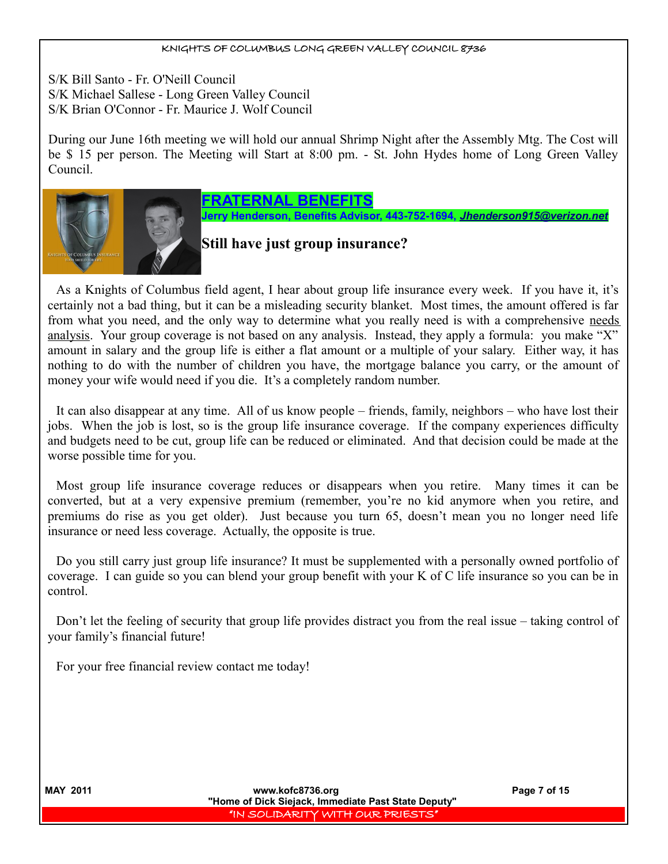S/K Bill Santo - Fr. O'Neill Council S/K Michael Sallese - Long Green Valley Council S/K Brian O'Connor - Fr. Maurice J. Wolf Council

During our June 16th meeting we will hold our annual Shrimp Night after the Assembly Mtg. The Cost will be \$ 15 per person. The Meeting will Start at 8:00 pm. - St. John Hydes home of Long Green Valley Council.



# **FRATERNAL BENEFITS**

**Jerry Henderson, Benefits Advisor, 443-752-1694,** *[Jhenderson915@verizon.net](mailto:Jhenderson915@verizon.net)*

# **Still have just group insurance?**

As a Knights of Columbus field agent, I hear about group life insurance every week. If you have it, it's certainly not a bad thing, but it can be a misleading security blanket. Most times, the amount offered is far from what you need, and the only way to determine what you really need is with a comprehensive needs analysis. Your group coverage is not based on any analysis. Instead, they apply a formula: you make "X" amount in salary and the group life is either a flat amount or a multiple of your salary. Either way, it has nothing to do with the number of children you have, the mortgage balance you carry, or the amount of money your wife would need if you die. It's a completely random number.

It can also disappear at any time. All of us know people – friends, family, neighbors – who have lost their jobs. When the job is lost, so is the group life insurance coverage. If the company experiences difficulty and budgets need to be cut, group life can be reduced or eliminated. And that decision could be made at the worse possible time for you.

Most group life insurance coverage reduces or disappears when you retire. Many times it can be converted, but at a very expensive premium (remember, you're no kid anymore when you retire, and premiums do rise as you get older). Just because you turn 65, doesn't mean you no longer need life insurance or need less coverage. Actually, the opposite is true.

Do you still carry just group life insurance? It must be supplemented with a personally owned portfolio of coverage. I can guide so you can blend your group benefit with your K of C life insurance so you can be in control.

Don't let the feeling of security that group life provides distract you from the real issue – taking control of your family's financial future!

For your free financial review contact me today!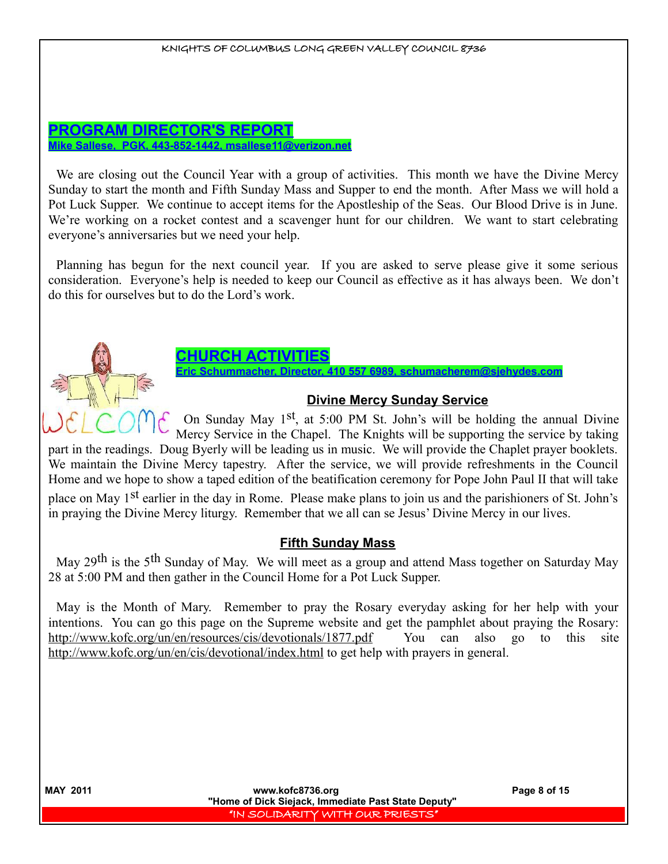#### **PROGRAM DIRECTOR'S REPORT Mike Sallese, PGK, 443-852-1442, msallese11@verizon.net**

We are closing out the Council Year with a group of activities. This month we have the Divine Mercy Sunday to start the month and Fifth Sunday Mass and Supper to end the month. After Mass we will hold a Pot Luck Supper. We continue to accept items for the Apostleship of the Seas. Our Blood Drive is in June. We're working on a rocket contest and a scavenger hunt for our children. We want to start celebrating everyone's anniversaries but we need your help.

Planning has begun for the next council year. If you are asked to serve please give it some serious consideration. Everyone's help is needed to keep our Council as effective as it has always been. We don't do this for ourselves but to do the Lord's work.



# **CHURCH ACTIVITIES**

**Director, 410 557 6989** 

## **Divine Mercy Sunday Service**

On Sunday May 1st, at 5:00 PM St. John's will be holding the annual Divine Mercy Service in the Chapel. The Knights will be supporting the service by taking

part in the readings. Doug Byerly will be leading us in music. We will provide the Chaplet prayer booklets. We maintain the Divine Mercy tapestry. After the service, we will provide refreshments in the Council Home and we hope to show a taped edition of the beatification ceremony for Pope John Paul II that will take place on May 1st earlier in the day in Rome. Please make plans to join us and the parishioners of St. John's in praying the Divine Mercy liturgy. Remember that we all can se Jesus' Divine Mercy in our lives.

## **Fifth Sunday Mass**

May 29th is the 5th Sunday of May. We will meet as a group and attend Mass together on Saturday May 28 at 5:00 PM and then gather in the Council Home for a Pot Luck Supper.

May is the Month of Mary. Remember to pray the Rosary everyday asking for her help with your intentions. You can go this page on the Supreme website and get the pamphlet about praying the Rosary: http://www.kofc.org/un/en/resources/cis/devotionals/1877.pdf You can also go to this site http://www.kofc.org/un/en/cis/devotional/index.html to get help with prayers in general.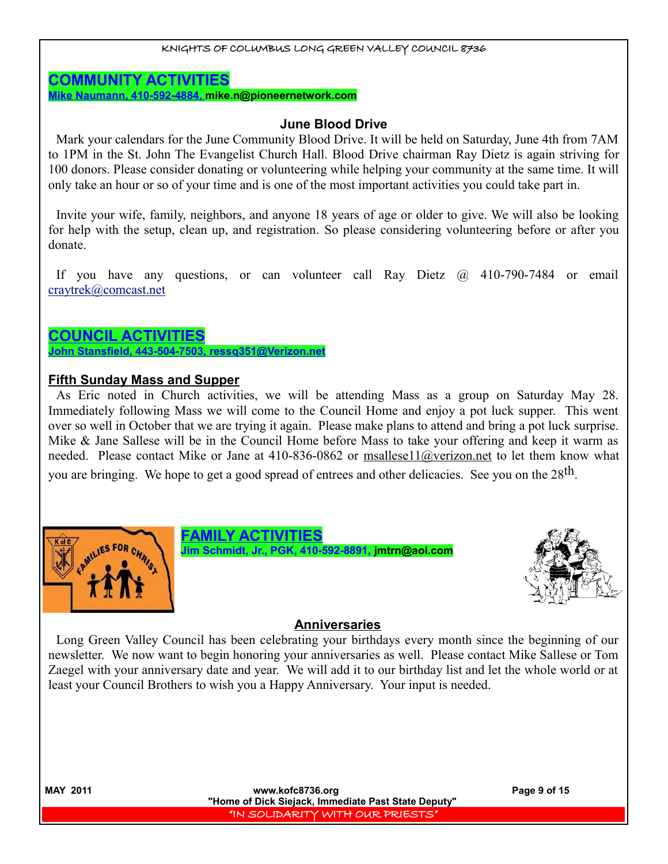#### **COMMUNITY ACTIVITIES**

**Mike Naumann, 410-592-4884, mike.n@pioneernetwork.com**

#### **June Blood Drive**

Mark your calendars for the June Community Blood Drive. It will be held on Saturday, June 4th from 7AM to 1PM in the St. John The Evangelist Church Hall. Blood Drive chairman Ray Dietz is again striving for 100 donors. Please consider donating or volunteering while helping your community at the same time. It will only take an hour or so of your time and is one of the most important activities you could take part in.

Invite your wife, family, neighbors, and anyone 18 years of age or older to give. We will also be looking for help with the setup, clean up, and registration. So please considering volunteering before or after you donate.

If you have any questions, or can volunteer call Ray Dietz @ 410-790-7484 or email [craytrek@comcast.net](mailto:craytrek@comcast.net)

# **COUNCIL ACTIVITIES**

 **John Stansfield, 443-504-7503, ressq351@Verizon.net**

## **Fifth Sunday Mass and Supper**

As Eric noted in Church activities, we will be attending Mass as a group on Saturday May 28. Immediately following Mass we will come to the Council Home and enjoy a pot luck supper. This went over so well in October that we are trying it again. Please make plans to attend and bring a pot luck surprise. Mike & Jane Sallese will be in the Council Home before Mass to take your offering and keep it warm as needed. Please contact Mike or Jane at 410-836-0862 or msallese11@verizon.net to let them know what you are bringing. We hope to get a good spread of entrees and other delicacies. See you on the 28<sup>th</sup>.







#### **Anniversaries**

Long Green Valley Council has been celebrating your birthdays every month since the beginning of our newsletter. We now want to begin honoring your anniversaries as well. Please contact Mike Sallese or Tom Zaegel with your anniversary date and year. We will add it to our birthday list and let the whole world or at least your Council Brothers to wish you a Happy Anniversary. Your input is needed.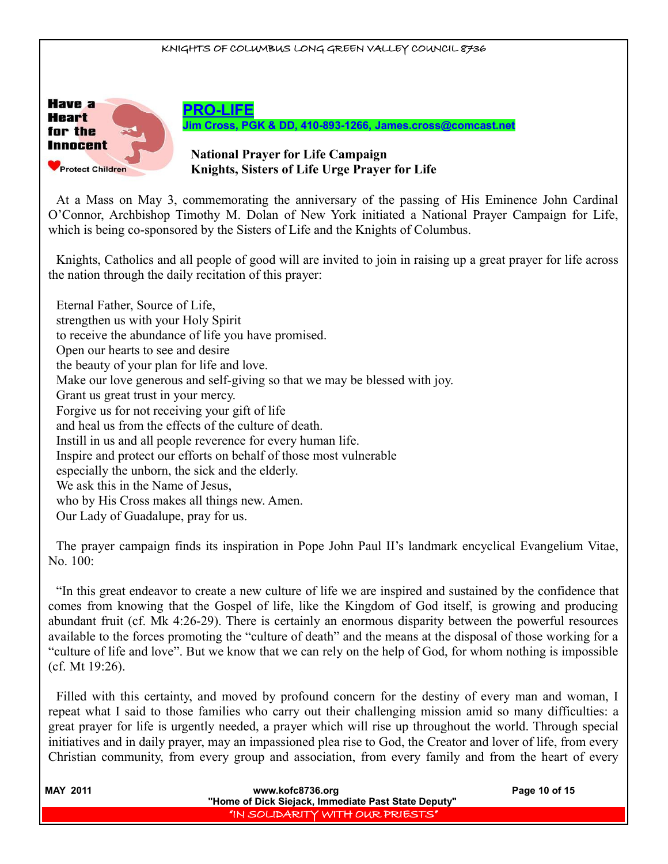

At a Mass on May 3, commemorating the anniversary of the passing of His Eminence John Cardinal O'Connor, Archbishop Timothy M. Dolan of New York initiated a National Prayer Campaign for Life, which is being co-sponsored by the Sisters of Life and the Knights of Columbus.

Knights, Catholics and all people of good will are invited to join in raising up a great prayer for life across the nation through the daily recitation of this prayer:

Eternal Father, Source of Life, strengthen us with your Holy Spirit to receive the abundance of life you have promised. Open our hearts to see and desire the beauty of your plan for life and love. Make our love generous and self-giving so that we may be blessed with joy. Grant us great trust in your mercy. Forgive us for not receiving your gift of life and heal us from the effects of the culture of death. Instill in us and all people reverence for every human life. Inspire and protect our efforts on behalf of those most vulnerable especially the unborn, the sick and the elderly. We ask this in the Name of Jesus, who by His Cross makes all things new. Amen. Our Lady of Guadalupe, pray for us.

The prayer campaign finds its inspiration in Pope John Paul II's landmark encyclical Evangelium Vitae, No. 100:

"In this great endeavor to create a new culture of life we are inspired and sustained by the confidence that comes from knowing that the Gospel of life, like the Kingdom of God itself, is growing and producing abundant fruit (cf. Mk 4:26-29). There is certainly an enormous disparity between the powerful resources available to the forces promoting the "culture of death" and the means at the disposal of those working for a "culture of life and love". But we know that we can rely on the help of God, for whom nothing is impossible (cf. Mt 19:26).

Filled with this certainty, and moved by profound concern for the destiny of every man and woman, I repeat what I said to those families who carry out their challenging mission amid so many difficulties: a great prayer for life is urgently needed, a prayer which will rise up throughout the world. Through special initiatives and in daily prayer, may an impassioned plea rise to God, the Creator and lover of life, from every Christian community, from every group and association, from every family and from the heart of every

| <b>MAY 2011</b> | www.kofc8736.org<br>"Home of Dick Siejack, Immediate Past State Deputy" | Page 10 of 15 |
|-----------------|-------------------------------------------------------------------------|---------------|
|                 | "IN SOLIDARITY WITH OUR PRIESTS"                                        |               |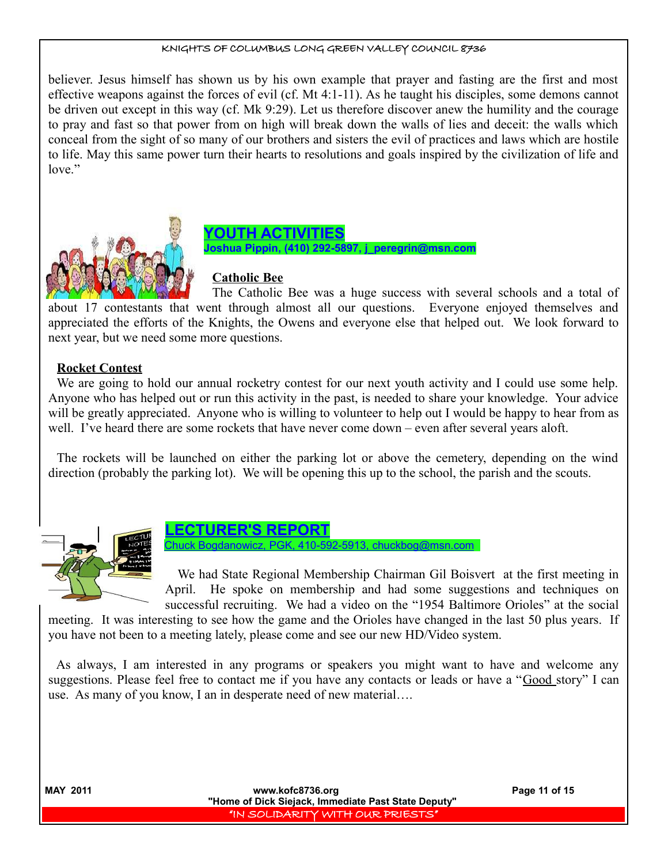believer. Jesus himself has shown us by his own example that prayer and fasting are the first and most effective weapons against the forces of evil (cf. Mt 4:1-11). As he taught his disciples, some demons cannot be driven out except in this way (cf. Mk 9:29). Let us therefore discover anew the humility and the courage to pray and fast so that power from on high will break down the walls of lies and deceit: the walls which conceal from the sight of so many of our brothers and sisters the evil of practices and laws which are hostile to life. May this same power turn their hearts to resolutions and goals inspired by the civilization of life and love."





# **Catholic Bee**

The Catholic Bee was a huge success with several schools and a total of about 17 contestants that went through almost all our questions. Everyone enjoyed themselves and appreciated the efforts of the Knights, the Owens and everyone else that helped out. We look forward to next year, but we need some more questions.

#### **Rocket Contest**

We are going to hold our annual rocketry contest for our next youth activity and I could use some help. Anyone who has helped out or run this activity in the past, is needed to share your knowledge. Your advice will be greatly appreciated. Anyone who is willing to volunteer to help out I would be happy to hear from as well. I've heard there are some rockets that have never come down – even after several years aloft.

The rockets will be launched on either the parking lot or above the cemetery, depending on the wind direction (probably the parking lot). We will be opening this up to the school, the parish and the scouts.





Chuck Bogdanowicz, PGK, 410-592-5913, chuckbog@msn.com

We had State Regional Membership Chairman Gil Boisvert at the first meeting in April. He spoke on membership and had some suggestions and techniques on successful recruiting. We had a video on the "1954 Baltimore Orioles" at the social

meeting. It was interesting to see how the game and the Orioles have changed in the last 50 plus years. If you have not been to a meeting lately, please come and see our new HD/Video system.

As always, I am interested in any programs or speakers you might want to have and welcome any suggestions. Please feel free to contact me if you have any contacts or leads or have a "Good story" I can use. As many of you know, I an in desperate need of new material….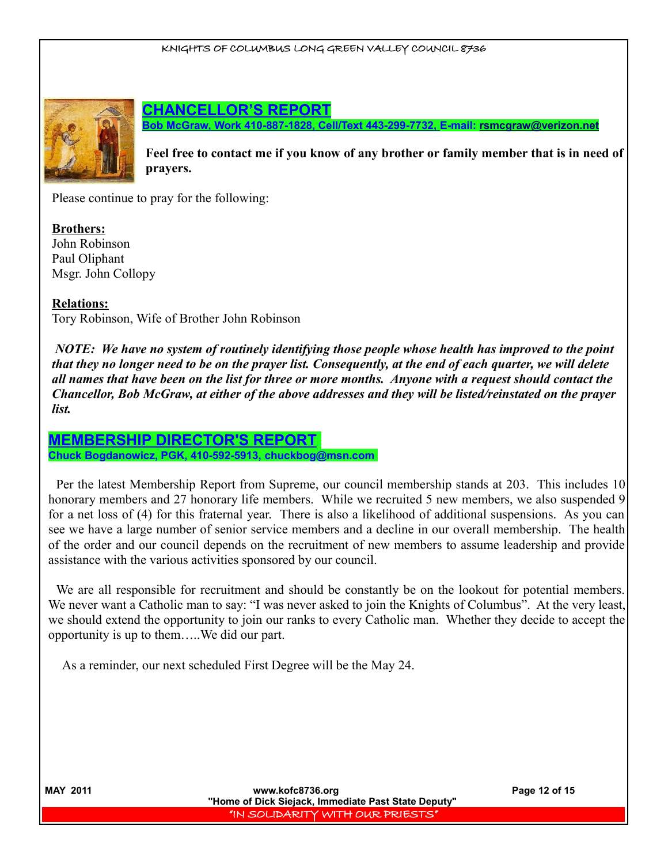

**CHANCELLOR'S REPORT**

**Bob McGraw, Work 410-887-1828, Cell/Text 443-299-7732, E-mail: [rsmcgraw@verizon.net](mailto:rsmcgraw@verizon.net)**

**Feel free to contact me if you know of any brother or family member that is in need of prayers.** 

Please continue to pray for the following:

**Brothers:** John Robinson Paul Oliphant Msgr. John Collopy

**Relations:**

Tory Robinson, Wife of Brother John Robinson

*NOTE: We have no system of routinely identifying those people whose health has improved to the point that they no longer need to be on the prayer list. Consequently, at the end of each quarter, we will delete all names that have been on the list for three or more months. Anyone with a request should contact the Chancellor, Bob McGraw, at either of the above addresses and they will be listed/reinstated on the prayer list.* 

#### **MEMBERSHIP DIRECTOR'S REPORT Chuck Bogdanowicz, PGK, 410-592-5913, chuckbog@msn.com**

Per the latest Membership Report from Supreme, our council membership stands at 203. This includes 10 honorary members and 27 honorary life members. While we recruited 5 new members, we also suspended 9 for a net loss of (4) for this fraternal year. There is also a likelihood of additional suspensions. As you can see we have a large number of senior service members and a decline in our overall membership. The health of the order and our council depends on the recruitment of new members to assume leadership and provide assistance with the various activities sponsored by our council.

We are all responsible for recruitment and should be constantly be on the lookout for potential members. We never want a Catholic man to say: "I was never asked to join the Knights of Columbus". At the very least, we should extend the opportunity to join our ranks to every Catholic man. Whether they decide to accept the opportunity is up to them…..We did our part.

As a reminder, our next scheduled First Degree will be the May 24.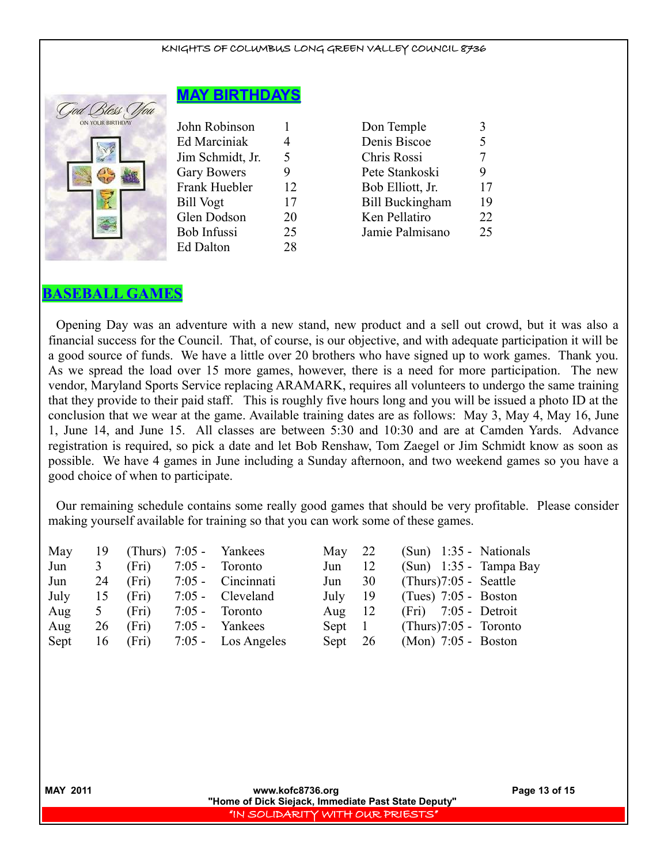

|  |  |  | <b>MAY BIRTHDAYS</b> |  |  |
|--|--|--|----------------------|--|--|
|  |  |  |                      |  |  |

| John Robinson      |    | Don Temple             | 3              |
|--------------------|----|------------------------|----------------|
| Ed Marciniak       | 4  | Denis Biscoe           | 5              |
| Jim Schmidt, Jr.   | 5  | Chris Rossi            | 7              |
| <b>Gary Bowers</b> | 9  | Pete Stankoski         | 9              |
| Frank Huebler      | 12 | Bob Elliott, Jr.       | 1              |
| Bill Vogt          | 17 | <b>Bill Buckingham</b> | 1              |
| Glen Dodson        | 20 | Ken Pellatiro          | 2              |
| Bob Infussi        | 25 | Jamie Palmisano        | $\overline{2}$ |
| Ed Dalton          | 28 |                        |                |

| John Robinson      |    | Don Temple             |    |
|--------------------|----|------------------------|----|
| Ed Marciniak       | 4  | Denis Biscoe           |    |
| Jim Schmidt, Jr.   | 5  | Chris Rossi            |    |
| <b>Gary Bowers</b> |    | Pete Stankoski         |    |
| Frank Huebler      | 12 | Bob Elliott, Jr.       | 17 |
| Bill Vogt          | 17 | <b>Bill Buckingham</b> | 19 |
| Glen Dodson        | 20 | Ken Pellatiro          | 22 |
| Bob Infussi        | 25 | Jamie Palmisano        | 25 |
|                    |    |                        |    |

## **BASEBALL GAMES**

Opening Day was an adventure with a new stand, new product and a sell out crowd, but it was also a financial success for the Council. That, of course, is our objective, and with adequate participation it will be a good source of funds. We have a little over 20 brothers who have signed up to work games. Thank you. As we spread the load over 15 more games, however, there is a need for more participation. The new vendor, Maryland Sports Service replacing ARAMARK, requires all volunteers to undergo the same training that they provide to their paid staff. This is roughly five hours long and you will be issued a photo ID at the conclusion that we wear at the game. Available training dates are as follows: May 3, May 4, May 16, June 1, June 14, and June 15. All classes are between 5:30 and 10:30 and are at Camden Yards. Advance registration is required, so pick a date and let Bob Renshaw, Tom Zaegel or Jim Schmidt know as soon as possible. We have 4 games in June including a Sunday afternoon, and two weekend games so you have a good choice of when to participate.

Our remaining schedule contains some really good games that should be very profitable. Please consider making yourself available for training so that you can work some of these games.

|               |       |          | May                                                                                                                             | 22 | $(Sun)$ 1:35 - Nationals |
|---------------|-------|----------|---------------------------------------------------------------------------------------------------------------------------------|----|--------------------------|
| 3             | (Fri) | $7:05 -$ | Jun                                                                                                                             | 12 | $(Sun)$ 1:35 - Tampa Bay |
| 24            | (Fri) |          | Jun                                                                                                                             | 30 | $(Thus)7:05$ - Seattle   |
| 15            | (Fri) |          | July                                                                                                                            | 19 | $(Tues)$ 7:05 - Boston   |
| $\mathcal{L}$ | (Fri) | $7:05$ - | Aug                                                                                                                             | 12 | $(Fri)$ 7:05 - Detroit   |
| 26            | (Fri) | $7:05$ - | Sept                                                                                                                            |    | $(Thus)7:05$ - Toronto   |
| 16            | (Fri) |          | Sept                                                                                                                            |    | $(Mon)$ 7:05 - Boston    |
|               |       |          | 19 (Thurs) 7:05 - Yankees<br>Toronto<br>$7:05$ - Cincinnati<br>$7:05$ - Cleveland<br>Toronto<br>Yankees<br>$7:05$ - Los Angeles |    | $\sim 1$<br>- 26         |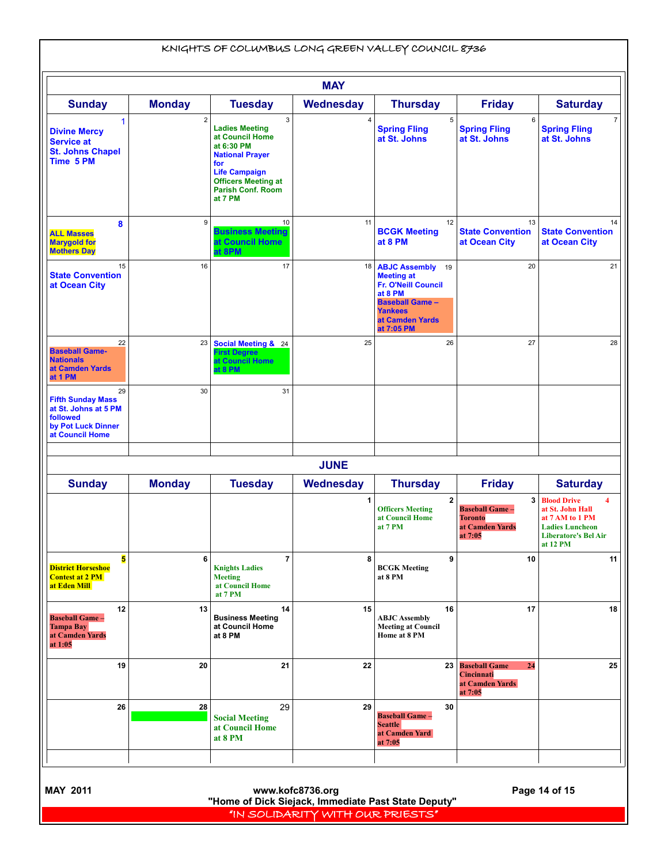|                                                                                                             |                         |                                                                                                                                                                                                      | <b>MAY</b>       |                                                                                                                                                                    |                                                                             |                                                                                                                                     |
|-------------------------------------------------------------------------------------------------------------|-------------------------|------------------------------------------------------------------------------------------------------------------------------------------------------------------------------------------------------|------------------|--------------------------------------------------------------------------------------------------------------------------------------------------------------------|-----------------------------------------------------------------------------|-------------------------------------------------------------------------------------------------------------------------------------|
| <b>Sunday</b>                                                                                               | <b>Monday</b>           | <b>Tuesday</b>                                                                                                                                                                                       | <b>Wednesday</b> | <b>Thursday</b>                                                                                                                                                    | <b>Friday</b>                                                               | <b>Saturday</b>                                                                                                                     |
| 1<br><b>Divine Mercy</b><br><b>Service at</b><br><b>St. Johns Chapel</b><br>Time 5 PM                       | $\overline{\mathbf{c}}$ | $\mathbf{3}$<br><b>Ladies Meeting</b><br>at Council Home<br>at 6:30 PM<br><b>National Prayer</b><br>for<br><b>Life Campaign</b><br><b>Officers Meeting at</b><br><b>Parish Conf. Room</b><br>at 7 PM | 4                | 5<br><b>Spring Fling</b><br>at St. Johns                                                                                                                           | 6<br><b>Spring Fling</b><br>at St. Johns                                    | $\overline{7}$<br><b>Spring Fling</b><br>at St. Johns                                                                               |
| 8<br><b>ALL Masses</b><br><b>Marygold for</b><br><b>Mothers Day</b>                                         | 9                       | 10<br><b>Business Meeting</b><br>at Council Home<br>at 8PM                                                                                                                                           | 11               | 12<br><b>BCGK Meeting</b><br>at 8 PM                                                                                                                               | 13<br><b>State Convention</b><br>at Ocean City                              | 14<br><b>State Convention</b><br>at Ocean City                                                                                      |
| 15<br><b>State Convention</b><br>at Ocean City                                                              | 16                      | 17                                                                                                                                                                                                   | 18               | <b>ABJC Assembly</b> 19<br><b>Meeting at</b><br><b>Fr. O'Neill Council</b><br>at 8 PM<br><b>Baseball Game -</b><br><b>Yankees</b><br>at Camden Yards<br>at 7:05 PM | 20                                                                          | 21                                                                                                                                  |
| 22<br><b>Baseball Game-</b><br><b>Nationals</b><br>at Camden Yards<br>at 1 PM                               | 23                      | Social Meeting & 24<br><b>First Degree</b><br>at Council Home<br>at 8 PM                                                                                                                             | 25               | 26                                                                                                                                                                 | 27                                                                          | 28                                                                                                                                  |
| 29<br><b>Fifth Sunday Mass</b><br>at St. Johns at 5 PM<br>followed<br>by Pot Luck Dinner<br>at Council Home | 30                      | 31                                                                                                                                                                                                   |                  |                                                                                                                                                                    |                                                                             |                                                                                                                                     |
|                                                                                                             |                         |                                                                                                                                                                                                      | <b>JUNE</b>      |                                                                                                                                                                    |                                                                             |                                                                                                                                     |
| <b>Sunday</b>                                                                                               | <b>Monday</b>           | <b>Tuesday</b>                                                                                                                                                                                       | <b>Wednesday</b> | <b>Thursday</b>                                                                                                                                                    | <b>Friday</b>                                                               | <b>Saturday</b>                                                                                                                     |
|                                                                                                             |                         |                                                                                                                                                                                                      | 1                | 2<br><b>Officers Meeting</b><br>at Council Home<br>at 7 PM                                                                                                         | 3<br><b>Baseball Game -</b><br><b>Toronto</b><br>at Camden Yards<br>at 7:05 | <b>Blood Drive</b><br>4<br>at St. John Hall<br>at 7 AM to 1 PM<br><b>Ladies Luncheon</b><br><b>Liberatore's Bel Air</b><br>at 12 PM |
| 5<br><b>District Horseshoe</b><br><b>Contest at 2 PM</b><br>at Eden Mill                                    | 6                       | $\overline{7}$<br><b>Knights Ladies</b><br><b>Meeting</b><br>at Council Home<br>at 7 PM                                                                                                              | 8                | 9<br><b>BCGK Meeting</b><br>at 8 PM                                                                                                                                | 10                                                                          | 11                                                                                                                                  |
| 12<br><b>Baseball Game -</b><br><b>Tampa Bay</b><br>at Camden Yards<br>at 1:05                              | 13                      | 14<br><b>Business Meeting</b><br>at Council Home<br>at 8 PM                                                                                                                                          | 15               | 16<br><b>ABJC</b> Assembly<br><b>Meeting at Council</b><br>Home at 8 PM                                                                                            | 17                                                                          | 18                                                                                                                                  |
| 19                                                                                                          | 20                      | 21                                                                                                                                                                                                   | 22               | 23                                                                                                                                                                 | <b>Baseball Game</b><br>24<br>Cincinnati<br>at Camden Yards<br>at 7:05      | 25                                                                                                                                  |
| 26                                                                                                          | 28                      | 29<br><b>Social Meeting</b><br>at Council Home<br>at 8 PM                                                                                                                                            | 29               | 30<br><b>Baseball Game -</b><br><b>Seattle</b><br>at Camden Yard<br>at 7:05                                                                                        |                                                                             |                                                                                                                                     |

 **MAY 2011 www.kofc8736.org Page 14 of 15 "Home of Dick Siejack, Immediate Past State Deputy"**  "IN SOLIDARITY WITH OUR PRIESTS"